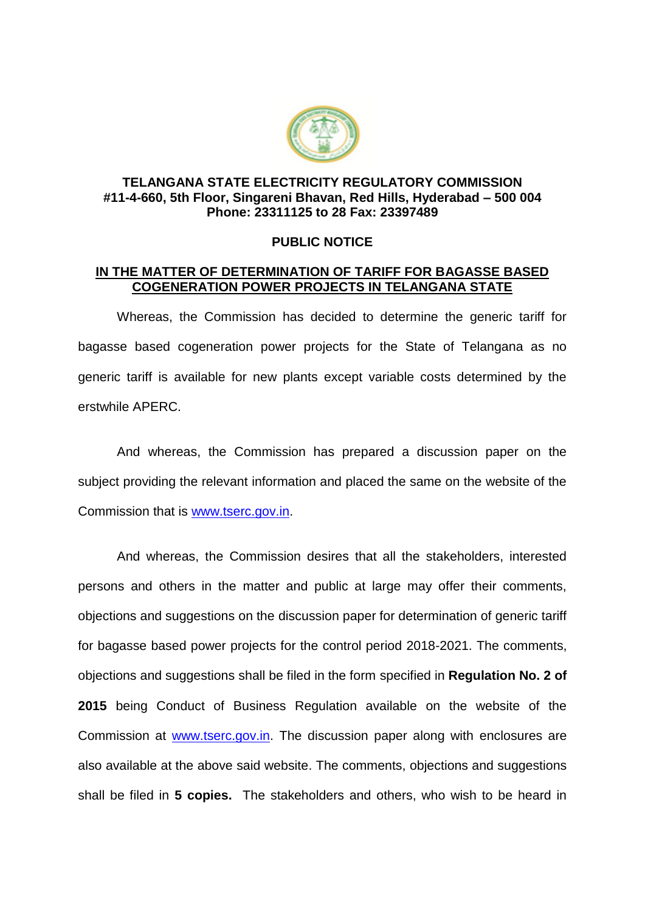

## **TELANGANA STATE ELECTRICITY REGULATORY COMMISSION #11-4-660, 5th Floor, Singareni Bhavan, Red Hills, Hyderabad – 500 004 Phone: 23311125 to 28 Fax: 23397489**

## **PUBLIC NOTICE**

## **IN THE MATTER OF DETERMINATION OF TARIFF FOR BAGASSE BASED COGENERATION POWER PROJECTS IN TELANGANA STATE**

Whereas, the Commission has decided to determine the generic tariff for bagasse based cogeneration power projects for the State of Telangana as no generic tariff is available for new plants except variable costs determined by the erstwhile APERC.

And whereas, the Commission has prepared a discussion paper on the subject providing the relevant information and placed the same on the website of the Commission that is [www.tserc.gov.in.](http://www.tserc.gov.in/)

And whereas, the Commission desires that all the stakeholders, interested persons and others in the matter and public at large may offer their comments, objections and suggestions on the discussion paper for determination of generic tariff for bagasse based power projects for the control period 2018-2021. The comments, objections and suggestions shall be filed in the form specified in **Regulation No. 2 of 2015** being Conduct of Business Regulation available on the website of the Commission at [www.tserc.gov.in.](http://www.tserc.gov.in/) The discussion paper along with enclosures are also available at the above said website. The comments, objections and suggestions shall be filed in **5 copies.** The stakeholders and others, who wish to be heard in